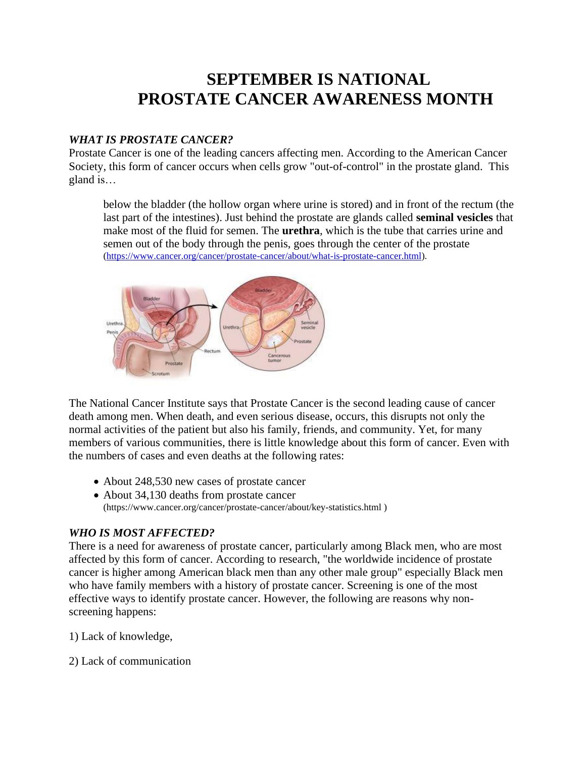# **SEPTEMBER IS NATIONAL PROSTATE CANCER AWARENESS MONTH**

## *WHAT IS PROSTATE CANCER?*

Prostate Cancer is one of the leading cancers affecting men. According to the American Cancer Society, this form of cancer occurs when cells grow "out-of-control" in the prostate gland. This gland is…

below the bladder (the hollow organ where urine is stored) and in front of the rectum (the last part of the intestines). Just behind the prostate are glands called **seminal vesicles** that make most of the fluid for semen. The **urethra***,* which is the tube that carries urine and semen out of the body through the penis, goes through the center of the prostate [\(https://www.cancer.org/cancer/prostate-cancer/about/what-is-prostate-cancer.html\)](https://www.cancer.org/cancer/prostate-cancer/about/what-is-prostate-cancer.html).



The National Cancer Institute says that Prostate Cancer is the second leading cause of cancer death among men. When death, and even serious disease, occurs, this disrupts not only the normal activities of the patient but also his family, friends, and community. Yet, for many members of various communities, there is little knowledge about this form of cancer. Even with the numbers of cases and even deaths at the following rates:

- About 248,530 new cases of prostate cancer
- About 34,130 deaths from prostate cancer (https://www.cancer.org/cancer/prostate-cancer/about/key-statistics.html )

### *WHO IS MOST AFFECTED?*

There is a need for awareness of prostate cancer, particularly among Black men, who are most affected by this form of cancer. According to research, "the worldwide incidence of prostate cancer is higher among American black men than any other male group" especially Black men who have family members with a history of prostate cancer. Screening is one of the most effective ways to identify prostate cancer. However, the following are reasons why nonscreening happens:

- 1) Lack of knowledge,
- 2) Lack of communication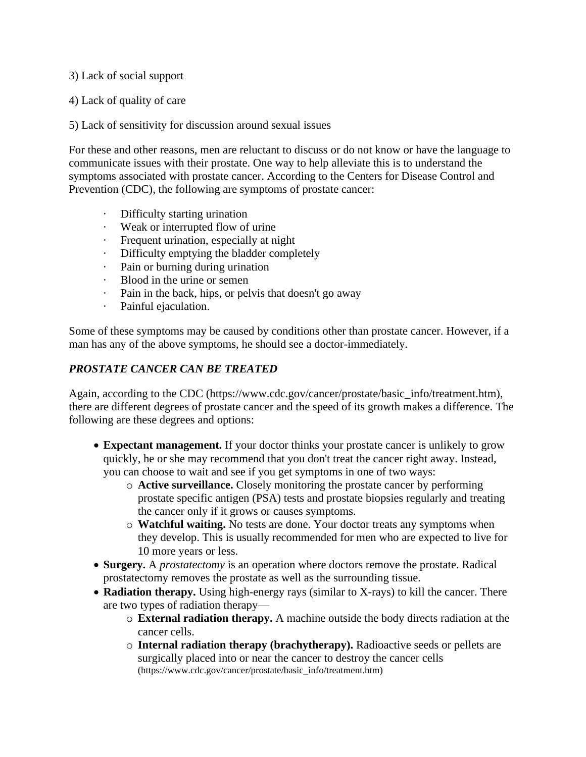#### 3) Lack of social support

4) Lack of quality of care

5) Lack of sensitivity for discussion around sexual issues

For these and other reasons, men are reluctant to discuss or do not know or have the language to communicate issues with their prostate. One way to help alleviate this is to understand the symptoms associated with prostate cancer. According to the Centers for Disease Control and Prevention (CDC), the following are symptoms of prostate cancer:

- · Difficulty starting urination
- · Weak or interrupted flow of urine
- · Frequent urination, especially at night
- · Difficulty emptying the bladder completely
- · Pain or burning during urination
- · Blood in the urine or semen
- · Pain in the back, hips, or pelvis that doesn't go away
- · Painful ejaculation.

Some of these symptoms may be caused by conditions other than prostate cancer. However, if a man has any of the above symptoms, he should see a doctor-immediately.

### *PROSTATE CANCER CAN BE TREATED*

Again, according to the CDC (https://www.cdc.gov/cancer/prostate/basic\_info/treatment.htm), there are different degrees of prostate cancer and the speed of its growth makes a difference. The following are these degrees and options:

- **Expectant management.** If your doctor thinks your prostate cancer is unlikely to grow quickly, he or she may recommend that you don't treat the cancer right away. Instead, you can choose to wait and see if you get symptoms in one of two ways:
	- o **Active surveillance.** Closely monitoring the prostate cancer by performing prostate specific antigen (PSA) tests and prostate biopsies regularly and treating the cancer only if it grows or causes symptoms.
	- o **Watchful waiting.** No tests are done. Your doctor treats any symptoms when they develop. This is usually recommended for men who are expected to live for 10 more years or less.
- **Surgery.** A *prostatectomy* is an operation where doctors remove the prostate. Radical prostatectomy removes the prostate as well as the surrounding tissue.
- **Radiation therapy.** Using high-energy rays (similar to X-rays) to kill the cancer. There are two types of radiation therapy
	- o **External radiation therapy.** A machine outside the body directs radiation at the cancer cells.
	- o **Internal radiation therapy (brachytherapy).** Radioactive seeds or pellets are surgically placed into or near the cancer to destroy the cancer cells (https://www.cdc.gov/cancer/prostate/basic\_info/treatment.htm)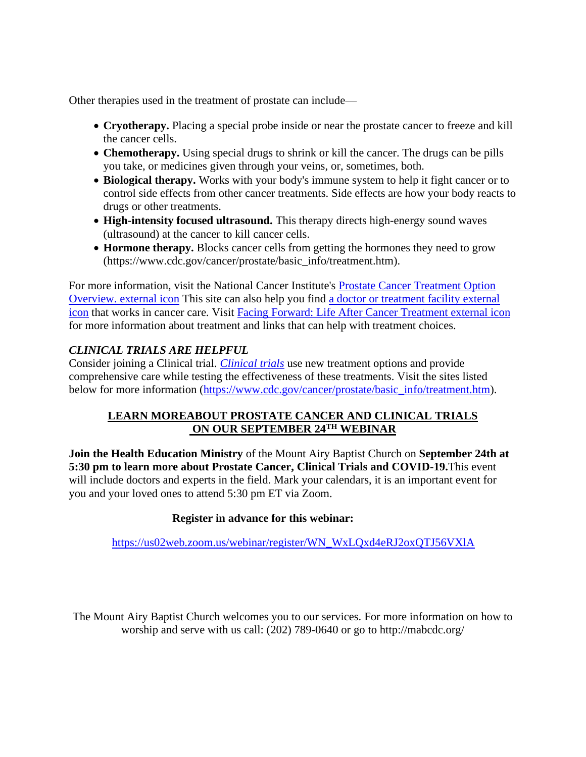Other therapies used in the treatment of prostate can include—

- **Cryotherapy.** Placing a special probe inside or near the prostate cancer to freeze and kill the cancer cells.
- **Chemotherapy.** Using special drugs to shrink or kill the cancer. The drugs can be pills you take, or medicines given through your veins, or, sometimes, both.
- **Biological therapy.** Works with your body's immune system to help it fight cancer or to control side effects from other cancer treatments. Side effects are how your body reacts to drugs or other treatments.
- **High-intensity focused ultrasound.** This therapy directs high-energy sound waves (ultrasound) at the cancer to kill cancer cells.
- **Hormone therapy.** Blocks cancer cells from getting the hormones they need to grow (https://www.cdc.gov/cancer/prostate/basic\_info/treatment.htm).

For more information, visit the National Cancer Institute's [Prostate Cancer Treatment Option](https://www.cancer.gov/types/prostate/patient/prostate-treatment-pdq#section/_142)  [Overview. external icon](https://www.cancer.gov/types/prostate/patient/prostate-treatment-pdq#section/_142) This site can also help you find [a doctor or treatment facility external](https://www.cancer.gov/about-cancer/managing-care/services)  [icon](https://www.cancer.gov/about-cancer/managing-care/services) that works in cancer care. Visit [Facing Forward: Life After Cancer Treatment external icon](https://www.cancer.gov/publications/patient-education/facing-forward) for more information about treatment and links that can help with treatment choices.

### *CLINICAL TRIALS ARE HELPFUL*

Consider joining a Clinical trial. *[Clinical trials](https://www.cdc.gov/cancer/survivors/patients/clinical-trials.htm)* use new treatment options and provide comprehensive care while testing the effectiveness of these treatments. Visit the sites listed below for more information [\(https://www.cdc.gov/cancer/prostate/basic\\_info/treatment.htm\)](https://www.cdc.gov/cancer/prostate/basic_info/treatment.htm).

### **LEARN MOREABOUT PROSTATE CANCER AND CLINICAL TRIALS ON OUR SEPTEMBER 24TH WEBINAR**

**Join the Health Education Ministry** of the Mount Airy Baptist Church on **September 24th at 5:30 pm to learn more about Prostate Cancer, Clinical Trials and COVID-19.**This event will include doctors and experts in the field. Mark your calendars, it is an important event for you and your loved ones to attend 5:30 pm ET via Zoom.

### **Register in advance for this webinar:**

[https://us02web.zoom.us/webinar/register/WN\\_WxLQxd4eRJ2oxQTJ56VXlA](https://us02web.zoom.us/webinar/register/WN_WxLQxd4eRJ2oxQTJ56VXlA)

The Mount Airy Baptist Church welcomes you to our services. For more information on how to worship and serve with us call: (202) 789-0640 or go to http://mabcdc.org/